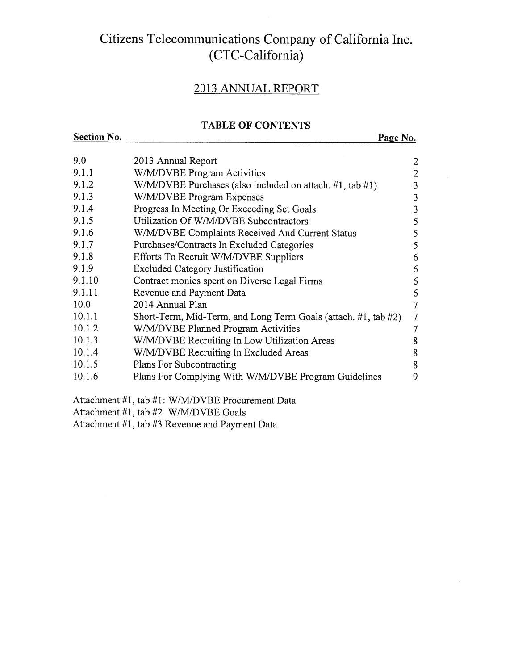#### Citizens Telecommunications Company of California Inc. (CTC-California)

#### 2013 ANNUAL REPORT

#### TABLE OF CONTENTS Section No. 2008 Page No.

| 9.0    | 2013 Annual Report                                             | $\overline{2}$ |
|--------|----------------------------------------------------------------|----------------|
| 9.1.1  | W/M/DVBE Program Activities                                    | 2              |
| 9.1.2  | $W/M/DVBE$ Purchases (also included on attach. #1, tab #1)     | 3              |
| 9.1.3  | W/M/DVBE Program Expenses                                      | 3              |
| 9.1.4  | Progress In Meeting Or Exceeding Set Goals                     | 3              |
| 9.1.5  | Utilization Of W/M/DVBE Subcontractors                         | 5              |
| 9.1.6  | W/M/DVBE Complaints Received And Current Status                | 5              |
| 9.1.7  | Purchases/Contracts In Excluded Categories                     | 5              |
| 9.1.8  | Efforts To Recruit W/M/DVBE Suppliers                          | 6              |
| 9.1.9  | <b>Excluded Category Justification</b>                         | 6              |
| 9.1.10 | Contract monies spent on Diverse Legal Firms                   | 6              |
| 9.1.11 | Revenue and Payment Data                                       | 6              |
| 10.0   | 2014 Annual Plan                                               | 7              |
| 10.1.1 | Short-Term, Mid-Term, and Long Term Goals (attach. #1, tab #2) | 7              |
| 10.1.2 | W/M/DVBE Planned Program Activities                            | 7              |
| 10.1.3 | W/M/DVBE Recruiting In Low Utilization Areas                   | 8              |
| 10.1.4 | W/M/DVBE Recruiting In Excluded Areas                          | 8              |
| 10.1.5 | Plans For Subcontracting                                       | 8              |
| 10.1.6 | Plans For Complying With W/M/DVBE Program Guidelines           | 9              |
|        | Attachment #1, tab #1: W/M/DVBE Procurement Data               |                |

Attachment #1, tab #2 W/M/DVBE Goals

Attachment #1, tab #3 Revenue and Payment Data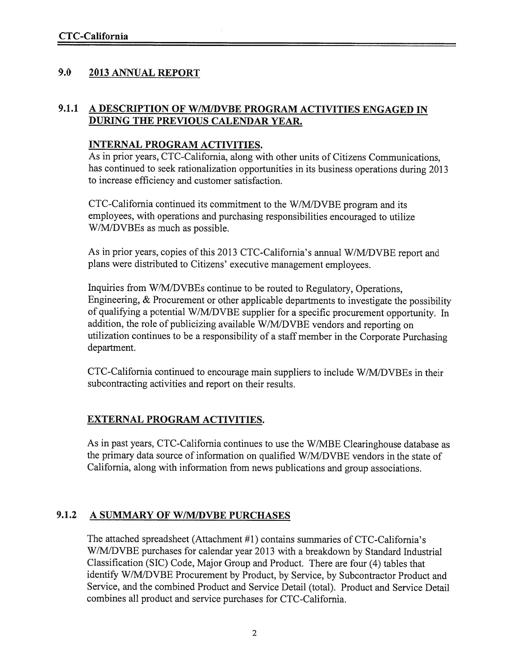#### 9.0 2013 ANNUAL REPORT

#### 9.1.1 A DESCRIPTION OF W/M/DVBE PROGRAM ACTIVITIES ENGAGED IN DURING THE PREVIOUS CALENDAR YEAR.

#### INTERNAL PROGRAM ACTIVITIES.

As in prior years, CTC-California, along with other units of Citizens Communications, has continued to seek rationalization opportunities in its business operations during <sup>2013</sup> to increase efficiency and customer satisfaction.

CTC-Califomia continued its commitment to the W/M/DVBE program and its employees, with operations and purchasing responsibilities encourage<sup>d</sup> to utilize W/M/DVBEs as much as possible.

As in prior years, copies of this <sup>2013</sup> CTC-California's annual W/M/DVBE repor<sup>t</sup> and <sup>p</sup>lans were distributed to Citizens' executive managemen<sup>t</sup> employees.

Inquiries from W/M/DVBEs continue to be routed to Regulatory, Operations, Engineering, & Procurement or other applicable departments to investigate the possibility of qualifying a potential W/M/DVBE supplier for a specific procurement opportunity. In addition, the role of publicizing available W/M/DVBE vendors and reporting on utilization continues to be <sup>a</sup> responsibility of <sup>a</sup> staff member in the Corporate Purchasing department.

CTC-California continued to encourage main suppliers to include W/M/DVBEs in their subcontracting activities and repor<sup>t</sup> on their results.

#### EXTERNAL PROGRAM ACTIVITIES.

As in pas<sup>t</sup> years, CTC-California continues to use the W/MBE Clearinghouse database as the primary data source of information on qualified W/M/DVBE vendors in the state of California, along with information from news publications and group associations.

#### 9.1.2 A SUMMARY OF W/M/DVBE PURCHASES

The attached spreadsheet (Attachment #1) contains summaries of CTC-Califomia's W/M/DVBE purchases for calendar year <sup>2013</sup> with <sup>a</sup> breakdown by Standard Industrial Classification (SIC) Code, Major Group and Product. There are four (4) tables that identify W/M/DVBE Procurement by Product, by Service, by Subcontractor Product and Service, and the combined Product and Service Detail (total). Product and Service Detail combines all product and service purchases for CTC-California.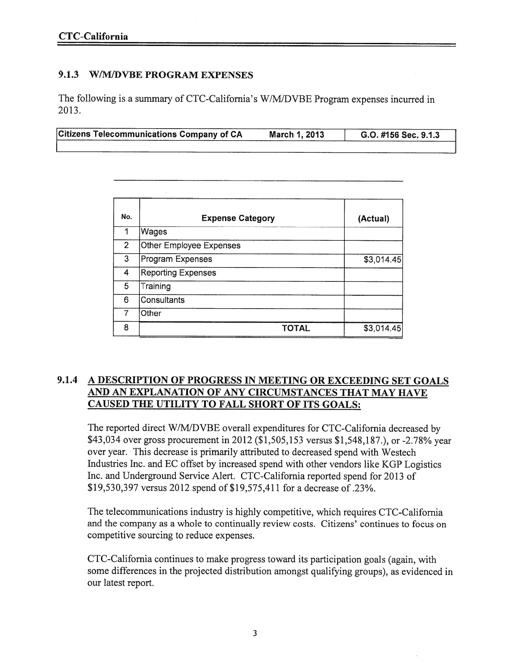#### 9.1.3 W/M/DVBE PROGRAM EXPENSES

The following is <sup>a</sup> summary of CTC-California's W/M/DVBE Program expenses incurred in 2013.

|  | Citizens Telecommunications Company of CA | March 1, 2013 | G.O. #156 Sec. 9.1.3 |
|--|-------------------------------------------|---------------|----------------------|
|--|-------------------------------------------|---------------|----------------------|

| No.            | <b>Expense Category</b>   | (Actual)   |
|----------------|---------------------------|------------|
| 1              | Wages                     |            |
| $\overline{2}$ | Other Employee Expenses   |            |
| 3              | Program Expenses          | \$3,014.45 |
| $\overline{4}$ | <b>Reporting Expenses</b> |            |
| 5              | Training                  |            |
| 6              | Consultants               |            |
|                | Other                     |            |
| 8              | <b>TOTAL</b>              | \$3,014.45 |

#### 9.1.4 A DESCRIPTION OF PROGRESS IN MEETING OR EXCEEDING SET GOALS AND AN EXPLANATION OF ANY CIRCUMSTANCES THAT MAY HAVE CAUSED THE UTILITY TO FALL SHORT OF ITS GOALS:

The reported direct W/M/DVBE overall expenditures for CTC-California decreased by \$43,034 over gross procuremen<sup>t</sup> in <sup>2012</sup> (\$1,505,153 versus \$1,548,187.), or -2.78% year over year. This decrease is primarily attributed to decreased spend with Westech Industries Inc. and EC offset by increased spend with other vendors like KGP Logistics Inc. and Underground Service Alert. CTC-California reported spend for 2013 of \$19,530,397 versus 2012 spend of \$19,575,411 for <sup>a</sup> decrease of .23%.

The telecommunications industry is highly competitive, which requires CTC-California and the company as <sup>a</sup> whole to continually review costs. Citizens' continues to focus on competitive sourcing to reduce expenses.

CTC-California continues to make progress toward its participation goals (again, with some differences in the projected distribution amongs<sup>t</sup> qualifying groups), as evidenced in our latest report.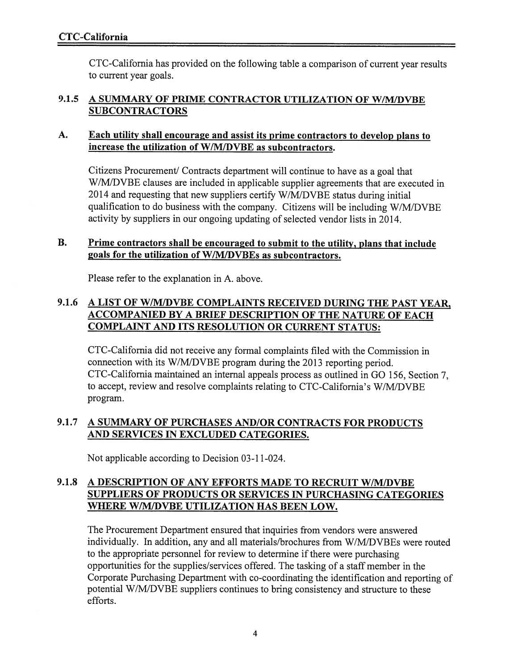CTC-California has provided on the following table <sup>a</sup> comparison of current year results to current year goals.

#### 9.1.5 A SUMMARY OF PRIME CONTRACTOR UTILIZATION OF W/M/DVBE SUBCONTRACTORS

#### A. Each utility shall encourage and assist its prime contractors to develop <sup>p</sup>lans to increase the utilization of W/M[DVBE as subcontractors.

Citizens Procurement/ Contracts department will continue to have as a goal that W/M/DVBE clauses are included in applicable supplier agreements that are executed in  $2014$  and requesting that new suppliers certify W/M/DVBE status during initial qualification to do business with the company. Citizens will be including W/M/DVBE activity by suppliers in our ongoing updating of selected vendor lists in 2014.

#### B. Prime contractors shall be encouraged to submit to the utility, plans that include goals for the utilization of W/M/DVBEs as subcontractors.

Please refer to the explanation in A. above.

#### 9.1.6 A LIST OF W/M/DVBE COMPLAINTS RECEIVED DURING THE PAST YEAR, ACCOMPANIED BY A BRIEF DESCRIPTION OF THE NATURE OF EACH COMPLAINT AND ITS RESOLUTION OR CURRENT STATUS:

CTC-California did not receive any formal complaints filed with the Commission in connection with its W/M/DVBE program during the <sup>2013</sup> reporting period. CTC-California maintained an internal appeals process as outlined in GO 156, Section 7, to accept, review and resolve complaints relating to CTC-California's W/M/DVBE program.

#### 9.1.7 A SUMMARY OF PURCHASES AND/OR CONTRACTS FOR PRODUCTS AND SERVICES IN EXCLUDED CATEGORIES.

Not applicable according to Decision 03-11-024.

#### 9.1.8 A DESCRIPTION OF ANY EFFORTS MADE TO RECRUIT W/M/DVBE SUPPLIERS OF PRODUCTS OR SERVICES IN PURCHASING CATEGORIES WHERE W/M/DVBE UTILIZATION HAS BEEN LOW.

The Procurement Department ensured that inquiries from vendors were answered individually. In addition, any and all materials/brochures from W/M/DVBEs were routed to the appropriate personnel for review to determine if there were purchasing opportunities for the supplies/services offered. The tasking of <sup>a</sup> staff member in the Corporate Purchasing Department with co-coordinating the identification and reporting of potential W/M/DVBE suppliers continues to bring consistency and structure to these efforts.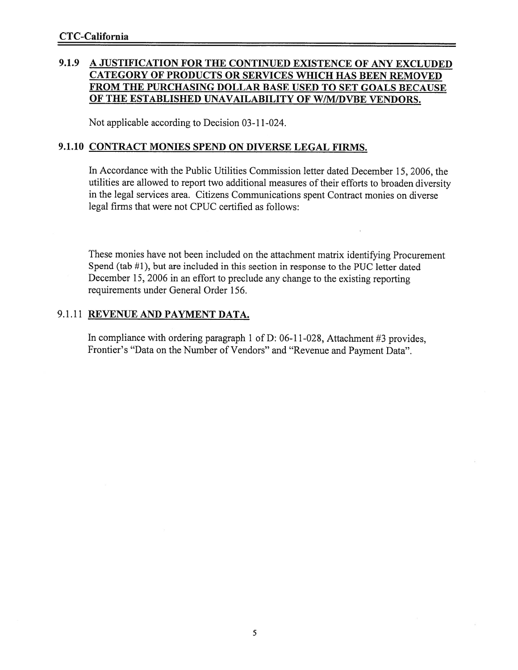#### 9.1.9 A JUSTIFICATION FOR THE CONTINUED EXISTENCE OF ANY EXCLUDED CATEGORY OF PRODUCTS OR SERVICES WifiCH HAS BEEN REMOVED FROM THE PURCHASING DOLLAR BASE USED TO SET GOALS BECAUSE OF THE ESTABLISHED UNAVAILABILITY OF W/M/DVBE VENDORS.

Not applicable according to Decision 03-11-024.

#### 9.1.10 CONTRACT MONIES SPEND ON DIVERSE LEGAL FIRMS.

In Accordance with the Public Utilities Commission letter dated December 15, 2006, the utilities are allowed to repor<sup>t</sup> two additional measures of their efforts to broaden diversity in the legal services area. Citizens Communications spen<sup>t</sup> Contract monies on diverse legal firms that were not CPUC certified as follows:

These monies have not been included on the attachment matrix identifying Procurement Spend (tab #1), but are included in this section in response to the PUC letter dated December 15, <sup>2006</sup> in an effort to preclude any change to the existing reporting requirements under General Order 156.

#### 9.1.11 REVENUE AND PAYMENT DATA.

In compliance with ordering paragraph 1 of D: 06-11-028, Attachment #3 provides, Frontier's "Data on the Number of Vendors" and "Revenue and Payment Data".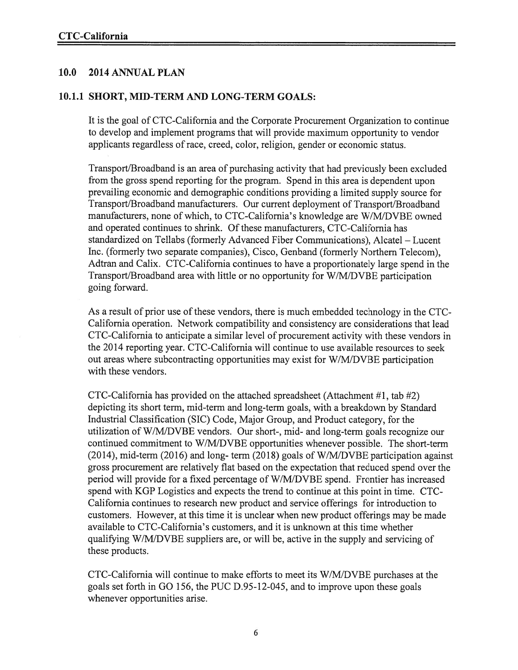#### 10.0 2014 ANNUAL PLAN

#### 10.1.1 SHORT, MID-TERM AND LONG-TERM GOALS:

It is the goal of CTC-California and the Corporate Procurement Organization to continue to develop and implement programs that will provide maximum opportunity to vendor applicants regardless of race, creed, color, religion, gender or economic status.

Transport/Broadband is an area of purchasing activity that had previously been excluded from the gross spend reporting for the program. Spend in this area is dependent upon prevailing economic and demographic conditions providing <sup>a</sup> limited supply source for Transport/Broadband manufacturers. Our current deployment of Transport/Broadband manufacturers, none of which, to CTC-California's knowledge are W/M/DVBE owned and operated continues to shrink. Of these manufacturers, CTC-California has standardized on Tellabs (formerly Advanced Fiber Communications), Alcatel — Lucent Inc. (formerly two separate companies), Cisco, Genband (formerly Northern Telecom), Adtran and Calix. CTC-California continues to have <sup>a</sup> proportionately large spend in the Transport/Broadband area with little or no opportunity for W/M/DVBE participation going forward.

As a result of prior use of these vendors, there is much embedded technology in the CTC-California operation. Network compatibility and consistency are considerations that lead CTC-California to anticipate <sup>a</sup> similar level of procuremen<sup>t</sup> activity with these vendors in the 2014 reporting year. CTC-California will continue to use available resources to seek out areas where subcontracting opportunities may exist for W/M/DVBE participation with these vendors.

CTC-California has provided on the attached spreadsheet (Attachment #1, tab #2) depicting its short term, mid-term and long-term goals, with <sup>a</sup> breakdown by Standard Industrial Classification (SIC) Code, Major Group, and Product category, for the utilization of W/M/DVBE vendors. Our short-, mid- and long-term goals recognize our continued commitment to W/M/DVBE opportunities whenever possible. The short-term (2014), mid-term (2016) and long- term (2018) goals of W/M/DVBE participation against gross procuremen<sup>t</sup> are relatively flat based on the expectation that reduced spend over the period will provide for <sup>a</sup> fixed percentage of W/M/DVBE spend. Frontier has increased spend with KGP Logistics and expects the trend to continue at this point in time. CTC California continues to research new product and service offerings for introduction to customers. However, at this time it is unclear when new product offerings may be made available to CTC-California's customers, and it is unknown at this time whether qualifying W/M/DVBE suppliers are, or will be, active in the supply and servicing of these products.

CTC-Califomia will continue to make efforts to meet its W/M/DVBE purchases at the goals set forth in GO 156, the PUC D.95-12-045, and to improve upon these goals whenever opportunities arise.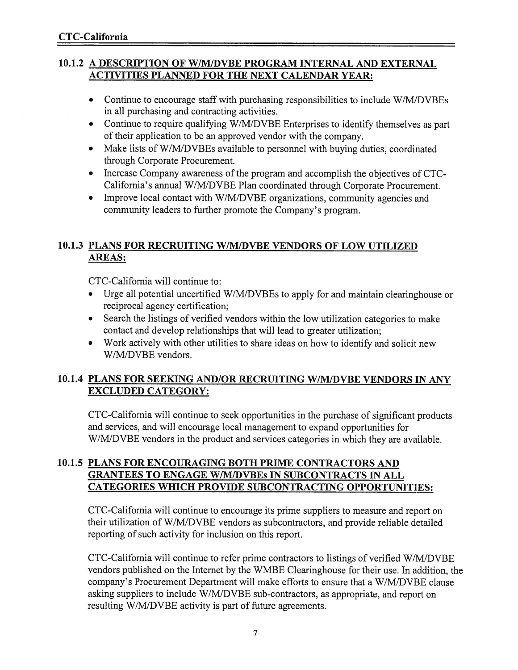#### 10.1.2 A DESCRIPTION OF W/M/DVBE PROGRAM INTERNAL AND EXTERNAL ACTIVITIES PLANNED FOR THE NEXT CALENDAR YEAR:

- Continue to encourage staff with purchasing responsibilities to include W/M/DVBEs in all purchasing and contracting activities.
- Continue to require qualifying W/M/DVBE Enterprises to identify themselves as par<sup>t</sup> of their application to be an approved vendor with the company.
- Make lists of W/M/DVBEs available to personnel with buying duties, coordinated through Corporate Procurement.
- Increase Company awareness of the program and accomplish the objectives of CTC-California's annual W/M/DVBE Plan coordinated through Corporate Procurement.
- • Improve local contact with W/M/DVBE organizations, community agencies and community leaders to further promote the Company's program.

#### 10.1.3 PLANS FOR RECRUITING W/M/DVBE VENDORS OF LOW UTILIZED AREAS:

CTC-California will continue to:

- • Urge all potential uncertified W/M/DVBEs to apply for and maintain clearinghouse or reciprocal agency certification;
- Search the listings of verified vendors within the low utilization categories to make contact and develop relationships that will lead to greater utilization;
- Work actively with other utilities to share ideas on how to identify and solicit new W/M/DVBE vendors.

#### 10.1.4 PLANS FOR SEEKING AND/OR RECRUITING W/M/DVBE VENDORS IN ANY EXCLUDED CATEGORY:

CTC-California will continue to seek opportunities in the purchase of significant products and services, and will encourage local managemen<sup>t</sup> to expand opportunities for W/M/DVBE vendors in the product and services categories in which they are available.

#### 10.1.5 PLANS FOR ENCOURAGING BOTH PRIME CONTRACTORS AND GRANTEES TO ENGAGE W/MIDVBEs IN SUBCONTRACTS IN ALL CATEGORIES WHICH PROVIDE SUBCONTRACTING OPPORTUNITIES:

CTC-California will continue to encourage its prime suppliers to measure and repor<sup>t</sup> on their utilization of W/M/DVBE vendors as subcontractors, and provide reliable detailed reporting of such activity for inclusion on this report.

CTC-California will continue to refer prime contractors to listings of verified W/M/DVBE vendors published on the Internet by the WMBE Clearinghouse for their use. In addition, the company's Procurement Department will make efforts to ensure that <sup>a</sup> W/M/DVBE clause asking suppliers to include W/M/DVBE sub-contractors, as appropriate, and repor<sup>t</sup> on resulting W/M/DVBE activity is par<sup>t</sup> of future agreements.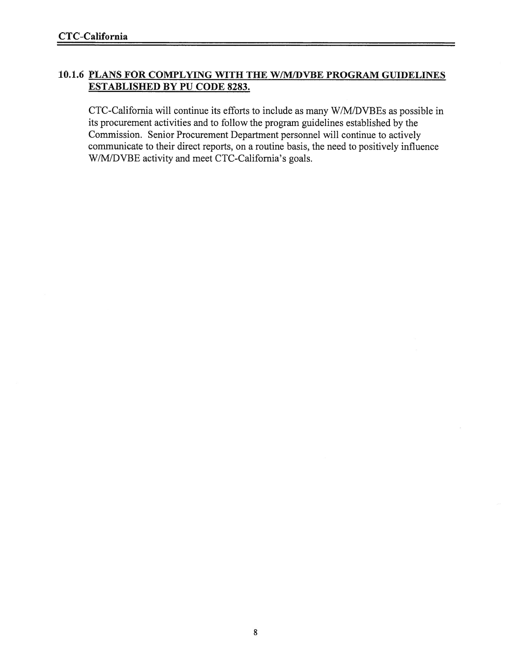#### 10.1.6 PLANS FOR COMPLYING WITH THE W/MIDVBE PROGRAM GUIDELINES ESTABLISHED BY PU CODE 8283.

CTC-California will continue its efforts to include as many W/M/DVBEs as possible in its procuremen<sup>t</sup> activities and to follow the program guidelines established by the Commission. Senior Procurement Department personnel will continue to actively communicate to their direct reports, on <sup>a</sup> routine basis, the need to positively influence W/M/DVBE activity and meet CTC-California's goals.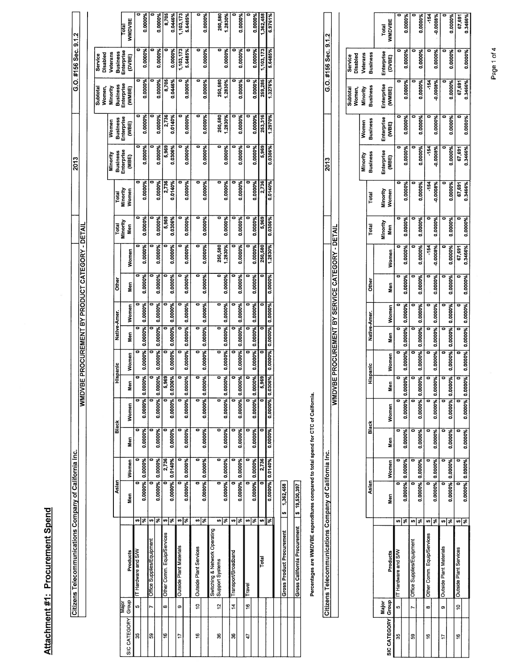| ĵ<br>í      |
|-------------|
| j           |
|             |
| I<br>ī<br>ī |
|             |

|              |                     | Citizens Telecommunications Company of California Inc.                             |     |                 |         |         |                 |               |                 |                 |              |                                            |                    |                 |                   | 2013                          |                     |                          | G.O. #156 Sec. 9.1.2        |                        |
|--------------|---------------------|------------------------------------------------------------------------------------|-----|-----------------|---------|---------|-----------------|---------------|-----------------|-----------------|--------------|--------------------------------------------|--------------------|-----------------|-------------------|-------------------------------|---------------------|--------------------------|-----------------------------|------------------------|
|              |                     |                                                                                    |     |                 |         |         |                 | <b>NANDVE</b> |                 |                 |              | E PROCUREMENT BY PRODUCT CATEGORY - DETAIL |                    |                 |                   |                               |                     |                          |                             |                        |
|              |                     |                                                                                    |     |                 |         |         |                 |               |                 |                 |              |                                            |                    |                 |                   |                               |                     |                          |                             |                        |
|              |                     |                                                                                    |     |                 |         |         |                 |               |                 |                 |              |                                            |                    |                 |                   |                               |                     | Women,<br><b>Subtota</b> | Disabled<br>Service         |                        |
|              |                     |                                                                                    |     |                 |         |         |                 |               |                 |                 |              |                                            |                    |                 |                   | Minority                      | Women               | Minority                 | Veterans                    |                        |
|              |                     |                                                                                    |     | Asian           |         | Black   |                 | Hispanic      |                 | Native-Amer.    |              | <b>Other</b>                               |                    | Total           | Total             | <b>Business</b><br>Enterprise | <b>Business</b>     | Business                 | <b>Business</b>             |                        |
| SIC CATEGORY | Group<br><b>See</b> | Products                                                                           |     | Nen             | Women   | Men     | Women           | Men           | Women           | Men             | Women        | Men                                        | Women              | Minority<br>Men | Minority<br>Women | (MBE)                         | Enterprise<br>(WBE) | Enterprise<br>(WWBE)     | <b>Enterprise</b><br>(DVBE) | <b>WMDVBE</b><br>Total |
| 55           | <sub>မာ</sub>       | IT Hardware and S/W                                                                | th  | 0               |         |         |                 |               |                 |                 |              | o                                          |                    |                 | 0                 |                               | ۰                   | 0                        | ۰                           |                        |
|              |                     |                                                                                    | ङ   | 0.0000% 0.0000% |         | 0.0000% | 0.0000% 0.0000% |               | 0.0000%         | 0.0000% 0.0000% |              | 0.0000%                                    | 0.0000%            | 0.0000%         | 0.0000%           | 0.0000%                       | 0.0000%             | 0.0000%                  | 0.0000%                     | 0.0000%                |
| g            | r                   | Office Supplies/Equipment                                                          | th  |                 |         |         |                 |               |                 |                 |              |                                            |                    |                 |                   |                               |                     |                          |                             |                        |
|              |                     |                                                                                    | ভ   | 0.0000% 0.0000% |         | 0.0000% | 0.0000% 0.0000% |               | 0.0000%         | 0.0000%         | 0.0000%      | 0.0000%                                    | 0.0000%            | 0.0000%         | 0.0000%           | 0.0000%                       | 0.0000%             | 0.0000%                  | 0.0000%                     | 0.0000%                |
| é            | œ                   | Other Comm. Equip/Services                                                         | H   |                 | 2,736   |         |                 | 5,969         |                 |                 |              |                                            |                    | 5,969           | 2,736             | 5,969                         | 2,736               | 8,705                    |                             | 8,705                  |
|              |                     |                                                                                    | ाङ  | 0.0000% 0.0140% |         | 0.0000% | 0.0000% 0.0306% |               | 0.0000%         | 0.0000%         | 0.0000%      | 0.0000%                                    | 0.0000%            | 0.0306%         | 0.0140%           | 0.0306%                       | 0.0140%             | 0.0446%                  | 0.0000%                     | 0.0446%                |
| ÷            | ō                   | <b>Outside Plant Materials</b>                                                     | H   |                 |         |         |                 |               |                 |                 |              | ō                                          |                    |                 |                   |                               |                     |                          | 1,103,173                   | 1,103,173              |
|              |                     |                                                                                    | 5   | 0.0000%         | 0.0000% | 0.0000% | 0.0000% 0.000   | ន្ទី          | 0.0000%         | 0.0000%         | 0.0000%      | 0.0000%                                    | 0.0000%            | 0.0000%         | 0.0000%           | 0.0000%                       | 0.0000%             | 0.0000%                  | 5.6485%                     | 5.6485%                |
| ڥ            | ė                   | <b>Cutside Plant Services</b>                                                      | U)  |                 |         |         |                 | 0             |                 |                 | ۰            |                                            |                    |                 |                   | 0                             |                     |                          |                             |                        |
|              |                     |                                                                                    | ∣ङ  | 0.0000% 0.0000% |         | 0.0000% | 0.0000% 0.000   | ě.            | 0.0000% 0.0000% |                 | 0.0000%      | 0.0000%                                    | 0.0000%            | 0.0000%         | 0.0000%           | 0.0000%                       | 0.0000%             | 0.0000%                  | 0.0000%                     | 0.0000%                |
|              |                     | Switching & Network Operating<br>Support Systems                                   |     |                 |         |         |                 |               |                 |                 |              |                                            |                    |                 |                   |                               |                     |                          |                             |                        |
| g            | 은                   |                                                                                    | ⊕∣ङ | 0.0000% 0.0000% |         | 0.0000% | 0.0000% 0.000   | ۰<br>š        | 0.0000%         | 0.0000%         | o<br>0.0000% | ō<br>0.0000%                               | 250,580<br>1.2830% | 0.0000%         | 0.0000%           | o<br>0.0000%                  | 250,580<br>.2830%   | 250,580<br>.2830%        | 0.0000%                     | 250,580<br>.2830%      |
| g            | $\frac{1}{4}$       | Transport/Broadband                                                                | ₩   |                 |         |         |                 |               |                 |                 | 0            |                                            |                    |                 |                   |                               |                     |                          |                             |                        |
|              |                     |                                                                                    | 呂   | 0.0000% 0.0000% |         | 0.0000% | 0.0000% 0.000   | š             | 0.0000%         | 0.0000%         | 0.0000%      | 0.0000%                                    | 0.0000%            | 0.0000%         | 0.0000%           | 0.0000%                       | 0.0000%             | 0.0000%                  | 0.0000%                     | 0.0000%                |
| 47           | é                   | Travel                                                                             | ÷   |                 |         |         |                 |               |                 |                 | ō            |                                            |                    |                 |                   |                               |                     |                          |                             |                        |
|              |                     |                                                                                    | ङ   | 0.0000% 0.0000% |         | 0.0000% | 0.0000% 0.000   | š.            | 0.0000%         | 0.0000%         | 0.0000%      | 0.0000%                                    | 0.0000%            | 0.0000%         | 0.0000%           | 0.0000%                       | 0.0000%             | 0.0000%                  | 0.0000%                     | 0.0000%                |
|              |                     | Total                                                                              | 'n  |                 | 2,736   |         |                 | 969<br>uņ     |                 |                 |              | 0                                          | 250,580            | 5,969           | 2,736             | 5,969                         | 253,316             | 259,285                  | 1, 103, 173                 | 1,362,458              |
|              |                     |                                                                                    | る   | 0.0000% 0.0140% |         | 0.0000% | 0.0000% 0.030   | 16%           | 0.0000% 0.0000% |                 | 0.0000%      | 0.0000%                                    | 1.2830%            | 0.0306%         | 0.0140%           | 0.0306%                       | 1.2970%             | 1.3276%                  | 5.6485%                     | 6.9761%                |
|              |                     |                                                                                    |     |                 |         |         |                 |               |                 |                 |              |                                            |                    |                 |                   |                               |                     |                          |                             |                        |
|              |                     | <b>Gross Product Procurement</b>                                                   |     | \$1,362,458     |         |         |                 |               |                 |                 |              |                                            |                    |                 |                   |                               |                     |                          |                             |                        |
|              |                     | Gross California Procurement                                                       |     | \$19,530,397    |         |         |                 |               |                 |                 |              |                                            |                    |                 |                   |                               |                     |                          |                             |                        |
|              |                     |                                                                                    |     |                 |         |         |                 |               |                 |                 |              |                                            |                    |                 |                   |                               |                     |                          |                             |                        |
|              |                     | Percentages are WMDVBE expenditures compared to total spend for CTC of California. |     |                 |         |         |                 |               |                 |                 |              |                                            |                    |                 |                   |                               |                     |                          |                             |                        |
|              |                     |                                                                                    |     |                 |         |         |                 |               |                 |                 |              |                                            |                    |                 |                   |                               |                     |                          |                             |                        |

Citizens Telecommunications Company of California Inc.

Citizens Telecommunications Company of California Inc. I I 2013 I G.O. #156 Sec. 9.1.2 WMDVBE PROCUREMENT BY SERVICE CATEGORY - DETAIL

WINDVBE PROCUREMENT BY SERVICE CATEGORY - DETAIL

G.O. #156 Sec. 9.1.2

2013

|                                                    | <b>WMDVBE</b><br>Total |                     | 0.0000%       |                           | 0.0000% | $-154$                     | -0.0008% |                                | 0.0000%        | 67,691                        | 0.3466%         |
|----------------------------------------------------|------------------------|---------------------|---------------|---------------------------|---------|----------------------------|----------|--------------------------------|----------------|-------------------------------|-----------------|
| <b>Business</b><br>Veterans<br>Service<br>Disabled | Enterprise<br>(DVBE)   |                     | 0.0000%       |                           | 0.0000% |                            | 0.0000%  |                                | 0.0000%        |                               | 0.0000%         |
| <b>Business</b><br>Minority<br>Subtotal<br>Women,  | Enterprise<br>(WWBE)   |                     | 0.0000%       |                           | 0.0000% | -154                       | -0.0008% |                                | 0.0000%        | 67,691                        | 0.3466%         |
| <b>Business</b><br>Women                           | Enterprise<br>(WBE)    |                     | 0.0000%       |                           | 0.0000% |                            | 0.0000%  |                                | 0.0000%        |                               | 0.0000%         |
| Business<br>Minority                               | Enterprise<br>(MBE)    |                     | 0.0000%       |                           | 0.0000% | $-154$                     | -0.0008% |                                | 0.0000%        | 67,691                        | 0.3466%         |
| Total                                              | Minority<br>Women      |                     | 0.0000%       |                           | 0.0000% | $-154$                     | -0.0008% |                                | 0.0000%        | 67,691                        | 0.3466%         |
| Total                                              | Minority<br>Men        |                     | 0.0000%       |                           | 0.0000% |                            | 0.0000%  |                                | 0.0000%        |                               | 0.0000%         |
|                                                    | Women                  |                     | 0.0000%       |                           | 0.0000% | $-154$                     | -0.0008% |                                | 0.0000%        | 67,691                        | 0.3466%         |
| <b>Other</b>                                       | Men                    |                     | 0.0000%       |                           | 0.0000% |                            | 0.0000%  |                                | 0.0000%        |                               | 0.0000%         |
| Native-Amer.                                       | Women                  |                     | 0.0000%       |                           | 0.0000% |                            | 0.0000%  |                                | 0.0000%        | o                             | 0.0000% 0.0000% |
|                                                    | <b>Sep</b>             |                     | 0.0000%       |                           | 0.0000% |                            | 0.0000%  |                                | 0.0000%        |                               |                 |
| Hispanic                                           | Women                  |                     | 0.0000%       |                           | 0.0000% |                            | 3.0000%  |                                | 1,0000%        |                               | 0.0000%         |
|                                                    | Men                    |                     | <b>PAODOO</b> |                           | 0000%   |                            | 0000%    |                                | <b>400000.</b> |                               | $ ^{9000\%}$    |
|                                                    | Women                  |                     | 0.0000%       |                           | 0.0000% | c                          | 0.0000%  | o                              | 0.0000%        | c                             | 0.0000% 0.      |
| Biack                                              | Men                    |                     | 0.0000%       |                           | 0.0000% |                            | 0.0000%  |                                | 0.0000%        |                               | 0.0000%         |
|                                                    | Women                  |                     | 0.0000%       |                           | 0.0000% |                            | 0.0000%  |                                | 0.0000%        |                               | 0.0000% 0.0000% |
| Asian                                              | Men                    |                     | 0.0000%       |                           | 0.0000% |                            | 0.0000%  |                                | 0.0000%        |                               |                 |
|                                                    |                        | မာ                  | ॾ             | tĄ                        | 3       | မာ                         | इ        | မာ                             | ٩ę             | tA                            | æ               |
|                                                    | Products               | IT Hardware and S/W |               | Office Supplies/Equipment |         | Other Comm. Equip/Services |          | <b>Outside Plant Materials</b> |                | <b>Outside Plant Services</b> |                 |
|                                                    | Major                  | u)                  |               | t                         |         | œ                          |          | o                              |                | ុ<br>ទ                        |                 |
|                                                    | SIC CATEGORY Group     | 35                  |               | S                         |         | په                         |          |                                |                | ۴                             |                 |

Page 1 of 4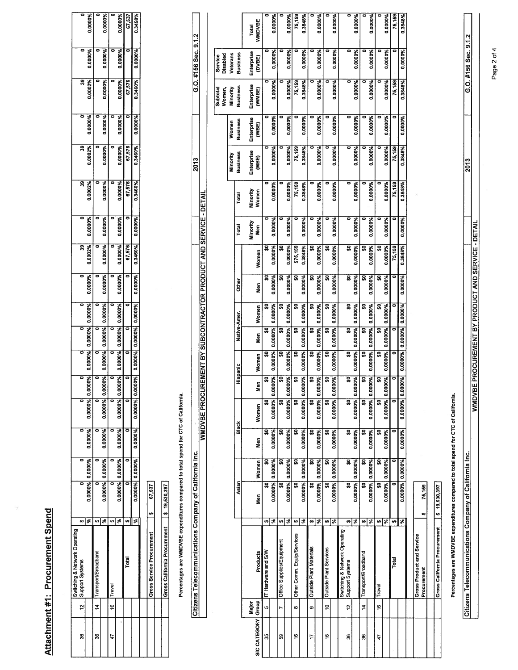## Attachment #1: Procurement Spend Attachment #1: Procurement Spend

|                               | ៊                  | 0.0000%                   | ò                      | 0.0000%                 |             | 0.0000%                  | 67,537 | 0.3458%                                                                                            |                                |
|-------------------------------|--------------------|---------------------------|------------------------|-------------------------|-------------|--------------------------|--------|----------------------------------------------------------------------------------------------------|--------------------------------|
|                               | o                  | 0.0000%                   |                        | 0.0000%                 |             | 0.0000%                  |        | 0.0000%                                                                                            |                                |
|                               | ఇ                  | 0.0002%                   |                        | 0.0000%                 |             | 0.0000%                  | 67,576 | 0.3460%                                                                                            |                                |
|                               | ō                  | 0.0000%                   |                        | 0.0000%                 |             | 0.0000%                  |        | 0.0000%                                                                                            |                                |
|                               | ន្ល                | 0.0002%                   |                        | 0.0000%                 |             | 0.0000%                  | 67,576 | 0.3460%                                                                                            |                                |
|                               | 39                 | 0.0002%                   |                        | 0.0000%                 |             | 0.0000%                  | 67.576 | 1.3460%                                                                                            |                                |
|                               |                    | 0.0000%                   |                        | 0.0000%                 |             | 0.0000%                  |        | 0.0000%                                                                                            |                                |
|                               | ន្ល                | 0.0002%                   |                        | 0.0000%                 |             | 0.0000%                  | 67,576 | 0.3460%                                                                                            |                                |
|                               |                    | 0.0000%                   |                        | 0.0000%                 |             | 0.0000%                  |        | 0.0000%)                                                                                           |                                |
|                               | ō                  | 0.0000%  0.0000%  0.0000% |                        | 0.0000% 0.0000% 0.0000% |             | 0.0000% 0.0000% 0.0000%  |        |                                                                                                    |                                |
|                               |                    |                           |                        |                         |             |                          |        |                                                                                                    |                                |
|                               |                    |                           |                        |                         |             |                          |        |                                                                                                    |                                |
|                               |                    | 1%0000                    |                        | 0000%                   |             | 1%0000                   |        |                                                                                                    |                                |
|                               |                    | $0.000\%$ 0.000% 0.       |                        | 0.0000% 0.0000% 0.0     |             | $0.0000\%$ $0.0000\%$ 0. |        | $\left  \begin{array}{cc} 0.0000\% & 0.0000\% \end{array} \right $ 0.0000% 0.0000% 0.0000% 0.0000% |                                |
|                               | ō                  |                           |                        |                         |             |                          |        |                                                                                                    |                                |
|                               |                    | 0.0000% 0.0000%           |                        | 0.0000% 0.0000%         |             | 0.0000% 0.0000%          |        | 000004 0.0000%                                                                                     |                                |
|                               |                    |                           |                        |                         |             |                          |        |                                                                                                    | 67,537                         |
|                               |                    |                           |                        |                         |             |                          |        | ۶Ë                                                                                                 |                                |
| Switching & Network Operating | 12 Support Systems |                           | 14 Transport/Broadband |                         |             |                          | Total  |                                                                                                    | Gross Service Procurement   \$ |
|                               |                    |                           |                        |                         | 16   Travel |                          |        |                                                                                                    |                                |
|                               | g                  |                           | g                      |                         |             |                          |        |                                                                                                    |                                |

Percentages are WMDVBE expenditures compared to total spend for CTC of California. Percentages are WMDVBE expenditures compared to total spend for CTC of California.

Citizens Telecommunications Company of California Inc.

Citizens Telecommunications Company of California Inc. I I 2013 I G.O. #156 Sec. 9.1.2 WMDVBE PROCUREMENT BY SUBCONTRACTOR PRODUCT AND SERVICE - DETAIL

G.O. #156 Sec. 9.1.2

2013

Gross California Procurement \$ 19,530,397

Gross California Procurement [\$ 19,530,397]

|                    |               |                                                  |                         |         |                 |         | WMDVBE PROCI |               |                         |              |         |              |          | <b>JREMENT BY SUBCONTRACTOR PRODUCT AND SERVICE - DETAIL</b> |          |            |            |            |            |               |
|--------------------|---------------|--------------------------------------------------|-------------------------|---------|-----------------|---------|--------------|---------------|-------------------------|--------------|---------|--------------|----------|--------------------------------------------------------------|----------|------------|------------|------------|------------|---------------|
|                    |               |                                                  |                         |         |                 |         |              |               |                         |              |         |              |          |                                                              |          |            |            |            |            |               |
|                    |               |                                                  |                         |         |                 |         |              |               |                         |              |         |              |          |                                                              |          |            |            | Subtotal   | Service    |               |
|                    |               |                                                  |                         |         |                 |         |              |               |                         |              |         |              |          |                                                              |          |            |            | Women,     | Disabled   |               |
|                    |               |                                                  |                         |         |                 |         |              |               |                         |              |         |              |          |                                                              |          | Minority   | Women      | Minority   | Veterans   |               |
|                    |               |                                                  |                         | Asian   |                 | Black   |              | Hispanic      |                         | Native-Amer. |         | <b>Other</b> |          | Total                                                        | Total    | Business   | Business   | Business   | Business   |               |
|                    | Major         |                                                  |                         |         |                 |         |              |               |                         |              |         |              |          | Minority                                                     | Minority | Enterprise | Enterprise | Enterprise | Enterprise | <b>Total</b>  |
| SIC CATEGORY Group |               | Products                                         |                         | Men     | Women           | Men     | Women        | Men           | Women                   | Men          | Women   | Men          | Women    | Men                                                          | Women    | (MBE)      | (VBE)      | (WWBE)     | (DVBE)     | <b>WMDVBE</b> |
| 35                 | <sub>u</sub>  | IT Hardware and S/W                              | Ø                       | ន្ធ     | ິ               | g       | ន្ល          | ິ             | 50                      | SO,          | ຸລຸ     | g            | 5        |                                                              |          | ۰          |            |            |            | 0             |
|                    |               |                                                  | ×,                      |         | 0.0000% 0.0000% | 0.0000% | 0.0000% 0.   | <b>PS000C</b> | 0.0000%                 | 0.0000%      | 0.0000% | 0.0000%      | 0.0000%  | 0.0000%                                                      | 0.0000%  | 0.0000%    | 0.0000%    | 0.0000%    | 0.0000%    | 0.0000%       |
| 59                 | L             | Office Supplies/Equipment                        | ø                       | ន្ល     | S               | g       | ន្ល          | ន្ល           | Ş0                      | ິ            | ន្ល     | ន្ល          | ິ        |                                                              |          |            |            |            |            |               |
|                    |               |                                                  | ×,                      |         | 0.0000% 0.0000% | 0.0000% | 0.0000% 0.   | 1000%         | 0.0000%                 | 0.0000%      | 0.0000% | 0.0000%      | 0.0000%  | 0.0000%                                                      | 0.0000%  | 0.0000%    | 0.0000%    | 0.0000%    | 0.0000%    | 0.0000%       |
| ڥ                  | œ             | Other Comm. Equip/Services                       | ₩                       | ន្ល     | ន្ត             | ធ្ល     | ន្ល          | ន្ល           | SO,                     | <u>ន្</u>    | ဒ္တ     | ន្ល          | \$75,159 |                                                              | 75,159   | 75,159     |            | 75,159     |            | 75,159        |
|                    |               |                                                  | $\overline{\mathbf{r}}$ |         | 0.0000% 0.0000% | 0.0000% | 0.0000% 0.   | 1000%         | 0.0000%                 | 0.0000%      | 0.0000% | 0.0000%      | 0.3848%  | 0.0000%                                                      | 0.3848%  | 0.3848%    | 0.0000%    | 0.3848%    | 0.0000%    | 0.3848%       |
| ₽                  | თ             | Outside Plant Materials                          | ₩                       | ន្ល     | 믔               | ິ       | ន្ល          | ິ             | ຶ                       | ິ            | ន្ល     | ន្ធ          | 뮻        |                                                              |          |            |            |            |            |               |
|                    |               |                                                  | s,                      |         | 0.0000% 0.0000% | 0.0000% | 0.0000% 0.   | 1000%         | 0.0000%                 | 0.0000%      | 0.0000% | 0.0000%      | 0.0000%  | 0.0000%                                                      | 0.0000%  | 0.0000%    | 0.0000%    | 0.0000%    | 0.0000%    | 0.0000%       |
| ؋                  | ă             | Outside Plant Services                           | ₩                       | ន្ត     | 유               | ន្ល     | 믔            | g             | द्भ                     | s,           | ន្ល     | g            | ន្ល      |                                                              |          |            |            |            |            |               |
|                    |               |                                                  | $\overline{\mathbf{x}}$ |         | 0.0000% 0.0000% | 0.0000% | 0.0000% 0.   | <b>DOO0%</b>  | 0.0000%                 | 0.0000%      | 0.0000% | 0.0000%      | 0.0000%  | 0.0000%                                                      | 0.0000%  | 0.0000%    | 0.0000%    | 0.0000%    | 0.0000%    | 0.0000%       |
| æ                  | 5,            | Switching & Network Operating<br>Support Systems | tĄ.                     | g       | द्भ             | 9       | ន            | इ             | ន្ធ                     | ā            | ន្ល     | g            | S,       | ō                                                            | ۰        | ۰          | ō          | ۰          |            | 0             |
|                    |               |                                                  | s,                      |         | 0.0000% 0.0000% | 0.0000% | 0.0000% 0.   | 1000%         | 0.0000%                 | 0.0000%      | 0.0000% | 0.0000%      | 0.0000%  | 0.0000%                                                      | 0.0000%  | 0.0000%    | 0.0000%    | 0.0000%    | 0.0000%    | 0.0000%       |
| 8                  | $\frac{4}{5}$ | Transport/Broadband                              | s                       | ន្ល     | <u>ន្</u>       | ន្ល     | ន្ល          | g             | ន្ល                     | ន្ល          | ន្ល     | ន្ល          | ន្ល      |                                                              |          |            |            |            |            |               |
|                    |               |                                                  | 3                       |         | 0.0000% 0.0000% | 0.0000% | 0.0000% 0.   | 000%          | 0.0000%                 | 0.0000%      | 0.0000% | 0.0000%      | 0.0000%  | 0.0000%                                                      | 0.0000%  | 0.0000%    | 0.0000%    | 0.0000%    | 0.0000%    | 0.0000%       |
| 47                 | ۴é            | Travel                                           | s                       | ន្ល     | ន្ល             | ິສ      | <u>ទ</u>     | ន្ល           | 읎                       | g,           | ន្ល     | g,           | ន្ល      |                                                              |          |            |            |            |            |               |
|                    |               |                                                  | इ                       | 0.0000% | 0.0000%         | 0.0000% | 0.0000%      | 1000%<br>ē    | 0.0000%                 | 0.0000%      | 0.0000% | 0.0000%      | 0.0000%  | 0.0000%                                                      | 0.0000%  | 0.0000%    | 0.0000%    | 0.0000%    | 0.0000%    | 0.0000%       |
|                    |               | Total                                            | 'n                      | ē       | c               |         |              | o             |                         |              |         | ۰            | 75,159   |                                                              | 75,159   | 75,159     |            | 75,159     |            | 75,159        |
|                    |               |                                                  | रू                      |         | 0.0000% 0.0000% | 0.0000% | 0.0000% 0.0  | 0000%         | 0.0000% 0.0000% 0.0000% |              |         | 0.0000%      | 0.3848%  | 0.0000%                                                      | 0.3848%  | 0.3848%    | 0.0000%    | 0.3848%    | 0.0000%    | 0.3848%       |
|                    |               |                                                  |                         |         |                 |         |              |               |                         |              |         |              |          |                                                              |          |            |            |            |            |               |
|                    |               | Gross Product and Service<br>Procurement         | m                       | 75,159  |                 |         |              |               |                         |              |         |              |          |                                                              |          |            |            |            |            |               |
|                    |               |                                                  |                         |         |                 |         |              |               |                         |              |         |              |          |                                                              |          |            |            |            |            |               |

Page 2 of 4

G.O. #156 Sec. 9.1.2

2013

Gross California Procurement \$ 19,530,397

 $\frac{1}{\sqrt{1}}$ Gross California Procurement  $\frac{1}{\sqrt{5}}$  19,530,397

Percentages are WMDVBE expenditures compared to total spend for CTC of California.

Citizens Telecommunications Company of California Inc.

Percentages are WMDVBE expenditures compared to total spend for CTC of California.

Citizens Telecommunications Company of California Inc. And Company of California Inc. Inc. 2013 C.O. #156 Sec. 9.1.2 WMDVBE PROCUREMENT BY PRODUCT AND SERVICE - DETAIL

WMDVBE PROCUREMENT BY PRODUCT AND SERVICE-DETAIL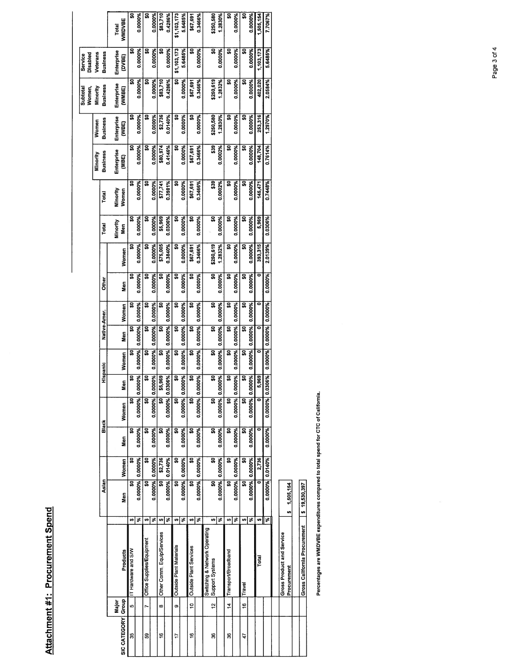| ì      |  |
|--------|--|
|        |  |
|        |  |
|        |  |
|        |  |
|        |  |
|        |  |
| í      |  |
|        |  |
|        |  |
|        |  |
| ׇ֠     |  |
| ٔ<br>۱ |  |
|        |  |
|        |  |
|        |  |
|        |  |
|        |  |
|        |  |
|        |  |
|        |  |
|        |  |
|        |  |
|        |  |

|              |               |                                                  |                         |                         |         |         |                         |                         |                 |              |         |                         |           |          |              |               |                 | Subtotal<br>Women, | Disabled<br>Service |               |
|--------------|---------------|--------------------------------------------------|-------------------------|-------------------------|---------|---------|-------------------------|-------------------------|-----------------|--------------|---------|-------------------------|-----------|----------|--------------|---------------|-----------------|--------------------|---------------------|---------------|
|              |               |                                                  |                         |                         |         |         |                         |                         |                 |              |         |                         |           |          |              | Minority      | Women           | Minority           | Veterans            |               |
|              |               |                                                  |                         | Asian                   |         | Black   |                         | Hispanic                |                 | Native-Amer. |         | Other                   |           | Total    | Total        | Business      | <b>Business</b> | Business           | Business            |               |
|              | Major         |                                                  |                         |                         |         |         |                         |                         |                 |              |         |                         |           | Minority | Minority     | Enterprise    | Enterprise      | Enterprise         | Enterprise          | <b>Total</b>  |
| SIC CATEGORY | Group         | Products                                         | Men                     |                         | Women   | Men     | Women                   | Men                     | Women           | Men          | Women   | Men                     | Women     | Men      | Women        | (MBE)         | (WBE)           | (WMBE)             | (DVBE)              | <b>WMDVBE</b> |
| 35           | 40            | IT Hardware and S/W                              | s                       | ន្ធ                     | SO      | ន្ល     | ິ                       | S                       | ູ               | ន្ធ          | ຸລ      | S                       | ន្ល       | ន្ល      | ິ            | ິ             | ន្ល             | ິ                  | ន្ធ                 | g             |
|              |               |                                                  | ङ                       | 0.0000%                 | 0.0000% | 0.0000% | 0.0000% 0.00            | 00%                     | 0.0000%         | 0.0000%      | 0.0000% | 0.0000%                 | 0.0000%   | 0.0000%  | 0.0000%      | 0.0000%       | 0.0000%         | 0.0000%            | 0.0000%             | 0.0000%       |
| 59           | r             | <b>Office Supplies/Equipment</b>                 | Ø                       | ន្ធ                     | ន្ល     | ន្ត     | ន្ត                     | $\overline{\mathbf{s}}$ | ິ               | Ş            | ຸລ      | S                       | ន្ល       | ຸລ       | ຸລ           | ន             | ິ               | ິ                  | ິສ                  | ິ             |
|              |               |                                                  | इ                       | 0.0000%<br>0.0000%      |         | 0.0000% | 0.0000% 0.0000%         |                         | 0.0000%         | 0.0000%      | 0.0000% | 0.0000%                 | 0.0000%   | 0.0000%  | 0.0000%      | 0.0000%       | 0.0000%         | 0.0000%            | 0.0000%             | 0.0000%       |
| ۴            | œ             | Other Comm, Equip/Services                       | 49                      | ន្ត                     | \$2,736 | ន្ត     | ន្ល                     | <b>969</b><br>S,        | ន្ល             | ູ            | ន្ល     | ន្ល                     | \$75,005  | \$5,969  | \$77,741     | \$80,974      | \$2,736         | \$83,710           | ន្ល                 | \$83,710      |
|              |               |                                                  | ङ                       | 0.0000% 0.0140%         |         | 0.0000% | 0.0000% 0.03            | 06%                     | 0.0000%         | 0.0000%      | 0.0000% | 0.0000%                 | 0.3840%   | 0.0306%  | 0.3981%      | 0.4146%       | 0.0140%         | 0.4286%            | 0.0000%             | 0.4286%       |
| ₽            | o             | Outside Plant Materials                          | ø                       | $\overline{\mathbf{s}}$ | g       | ន្ត     | ន្ល                     | ន្ធ                     | ន្ល             | ន្ល          | ႙       | ន្ល                     | 유         | g        | ິ            | ន្ល           | ន្ល             | ະ                  | \$1,103,173         | \$1,103,173   |
|              |               |                                                  | इ                       | 0.0000% 0.0000%         |         | 0.0000% | 0.0000% 0.00            | 00%                     | 0.0000% 0.0000% |              | 0.000%  | 0.0000%                 | 0.0000%   | 0.0000%  | 0.0000%      | 0.0000%       | 0.0000%         | 0.0000%            | 5.6485%             | 5.6485%       |
| ڥ            | <u>ុ</u>      | Outside Plant Services                           | 69                      | g                       | 유       | ន្ត     | ន្ធ                     | s                       | S,              | ន្ល          | S       | ន្ល                     | \$67,691  | g,       | \$67,691     | \$67,691      | s               | \$67,691           | ន្ល                 | \$67,691      |
|              |               |                                                  | $\overline{\mathbf{x}}$ | 0.0000%                 | 0.0000% | 0.0000% | 0.0000% 0.00            | 00%                     | 0.0000%         | 0.0000%      | 0.0000% | 0.0000%                 | 0.3466%   | 0.0000%  | 0.3466%      | 0.3466%       | 0.0000%         | 0.3466%            | 0.0000%             | 0.3466%       |
| g            | $\frac{1}{2}$ | Switching & Network Operating<br>Support Systems | Ø                       | ន្ល                     | ន្ត     | ន្ត     | $\overline{\mathbf{s}}$ | ន្ធ                     | ន្ធ             | ន្ល          | ន្ត     | $\overline{\mathbf{s}}$ | \$250,619 | ន្ធ      | $rac{9}{33}$ | $\frac{9}{2}$ | \$250,580       | \$250,619          | ន្ល                 | \$250,580     |
|              |               |                                                  | $\overline{\mathbf{x}}$ | 0.0000% 0.0000%         |         | 0.0000% | 0.0000% 0.0000%         |                         | 0.0000% 0.0000% |              | 0.0000% | 0.0000%                 | 1.2832%   | 0.0000%  | 0.0002%      | 0.0002%       | 1.2830%         | 1.2832%            | 0.0000%             | 1.2830%       |
| 36           | $\frac{4}{7}$ | Transport/Broadband                              | Ø                       | ន្ធ                     | ន្ធ     | ន្ត     | ន្ល                     | s,                      | s,              | S            | s,      | <u>ទ</u>                | <u>ន្</u> | ន្ល      | <u>ទ្</u>    | ន្ល           | ន្ល             | ន្ល                | ន្ត                 | <u>ន្</u>     |
|              |               |                                                  | इ                       | 0.0000%                 | 0.0000% | 0.0000% | 0.0000% 0.00            | <b>PAS</b>              | 0.0000%         | 0.0000%      | 0.0000% | 0.0000%                 | 0.0000%   | 0.0000%  | 0.0000%      | 0.0000%       | 0.0000%         | 0.0000%            | 0.0000%             | 0.0000%       |
| 47           | e             | Travel                                           | Ø                       | ន្ល                     | ន្ធ     | ន្ត     | ິ                       | द्भ                     | ន្ល             | ន្ល          | ន្ល     | ន្ត                     | ន្ត       | S0       | ន្ល          | ន្ល           | ន្ត             | 읎                  | ູ                   | ន្ត           |
|              |               |                                                  | ङ                       | 0.0000% 0.0000%         |         | 0.0000% | 0.0000% 0.00            | 00%                     | 0.0000%         | 0.0000%      | 0.0000% | 0.0000%                 | 0.0000%   | 0.0000%  | 0.0000%      | 0.0000%       | 0.0000%         | 0.0000%            | 0.0000%             | 0.0000%       |
|              |               | Total                                            | m                       | ē                       | 2,736   | ē       |                         | $rac{96}{26}$           |                 | ۰            | ۰       |                         | 393,315   | 5,969    | 145,471      | 148,704       | 253,316         | 402,020            | 1,103,173           | 1,505,154     |
|              |               |                                                  | $\overline{\mathbf{r}}$ | 0.0000% 0.0140%         |         | 0.0000% | 0.0000% 0.03            | 06%                     | 0.0000% 0.0000% |              | 0.0000% | 0.0000%                 | 2.0139%   | 0.0306%  | 0.7448%      | 0.7614%       | 1.2970%         | 2.0584%            | 5.6485%             | 7.7067%       |
|              |               |                                                  |                         |                         |         |         |                         |                         |                 |              |         |                         |           |          |              |               |                 |                    |                     |               |
|              |               | Gross Product and Service<br>Procurement         | 1,505,154<br>u          |                         |         |         |                         |                         |                 |              |         |                         |           |          |              |               |                 |                    |                     |               |
|              |               |                                                  |                         |                         |         |         |                         |                         |                 |              |         |                         |           |          |              |               |                 |                    |                     |               |
|              |               | Gross California Procurement                     | \$19,530,397            |                         |         |         |                         |                         |                 |              |         |                         |           |          |              |               |                 |                    |                     |               |
|              |               |                                                  |                         |                         |         |         |                         |                         |                 |              |         |                         |           |          |              |               |                 |                    |                     |               |

Percentages are WMDVBE expenditures compared to total spend for CTC of California. Percentages are WMDVBE expenditures compared to total spend for CTC of California.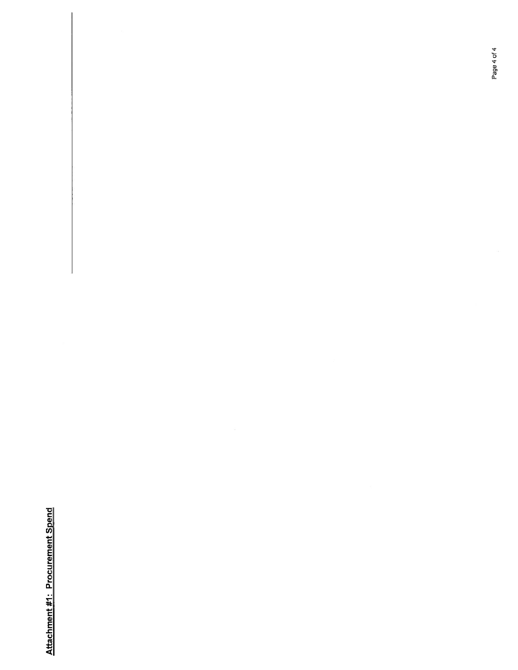Attachment #1: Procurement Spend Attachment #1: Procurement Spend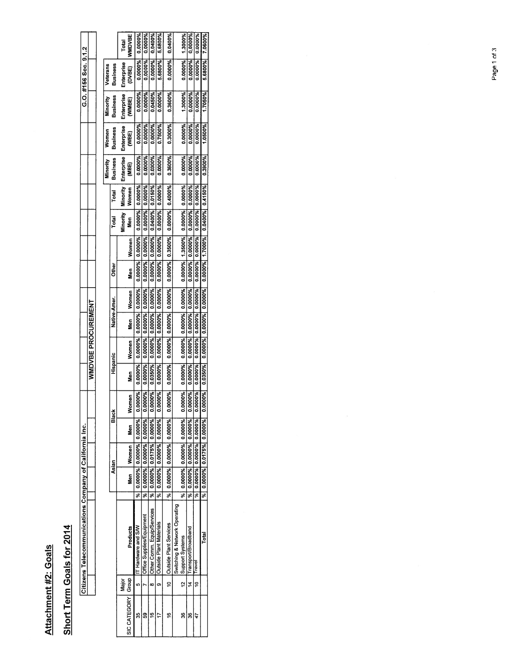Attachment #2: Goals Attachment #2: Goals

## Short Term Goals for 2014 Short Term Goals for 2014

|                      |       | Citizens Telecommunications Company of California Inc. |         |          |                         |                                        |         |          |                           |                         |         |                                                                               |                 |                               |         |                                               |                 |                   | G.O. #156 Sec. 9.1.2 |               |
|----------------------|-------|--------------------------------------------------------|---------|----------|-------------------------|----------------------------------------|---------|----------|---------------------------|-------------------------|---------|-------------------------------------------------------------------------------|-----------------|-------------------------------|---------|-----------------------------------------------|-----------------|-------------------|----------------------|---------------|
|                      |       |                                                        |         |          |                         |                                        |         |          | <b>WWDVBE PROCUREMENT</b> |                         |         |                                                                               |                 |                               |         |                                               |                 |                   |                      |               |
|                      |       |                                                        |         |          |                         |                                        |         |          |                           |                         |         |                                                                               |                 |                               |         |                                               |                 |                   |                      |               |
|                      |       |                                                        |         |          |                         |                                        |         |          |                           |                         |         |                                                                               |                 |                               |         | Minority                                      | Women           | Minority          | Veterans             |               |
|                      |       |                                                        |         | Asian    |                         | Black                                  |         | Hispanic |                           | Native-Amer.            |         | <b>Cther</b>                                                                  |                 | Total                         | Total   | <b>Business</b>                               | <b>Business</b> | <b>Business</b>   | <b>Business</b>      |               |
|                      | Major |                                                        |         |          |                         |                                        |         |          |                           |                         |         |                                                                               |                 |                               |         | Minority   Minority   Enterprise   Enterprise |                 | <b>Enterprise</b> | Enterprise           | Total         |
| SIC CATEGORY   Group |       | Products                                               |         | Men<br>S | Women   Men             |                                        | Women   | Nen<br>B | Women                     | Men <sup>-</sup>        | Women   | <b>Men</b>                                                                    | Women           | e<br>Sep                      | Women   | MBE)                                          | VBE)            | WMBE)             | (DVBE)               | <b>NNDVBE</b> |
| S                    |       | T Hardware and SW                                      | у.      |          |                         | 0.0000% 0.0000% 0.0000% 0.0000%        |         | 0.0000%  |                           | 0.0000% 0.0000% 0.0000% |         |                                                                               |                 | 0.0000% 0.0000% 0.0000% 0.000 | 0.0000% | 0.0000%                                       | 0.0000%         | 0.0000%           | 0.0000%              | 0.0000%       |
| ဌ                    |       | Office Supplies/Equipment                              | si<br>S |          | 0.0000% 0.0000% 0.0000% |                                        | 0.0000% | 0.0000%  |                           | 0.0000% 0.0000% 0       | 0.0000% |                                                                               | 0.0000% 0.0000% | 0.0000%                       | 0.0000% | 7.0000%                                       | <b>1.0000%</b>  | 0.0000%           | 1,0000%              |               |
| c                    |       | Other Comm. Equip/Services                             | ٦g      |          |                         | 0.0000%  0.0175%  0.0000%              | 0.0000% | 1,0350%  |                           | 0.0000% 0.0000% 0       | 0.0000% | 0.0000%                                                                       | 0.0000%         | 0.0400% 0.0150%               |         | 1.0300%                                       | <b>1.0000%</b>  | 0.0450%           | 1.0000%              | 1.0400%       |
|                      |       | <b>Outside Plant Materials</b>                         | s<br>S  |          |                         | $0.0000\%$   0.0000%  0.0000%  0.0000% |         |          |                           |                         |         | 0.0000%   0.0000%   0.0000%   0.0000%   0.0000%   0.0000%   0.0000%   0.0000% |                 |                               |         | 0.0000%                                       | 0.7500%         | 0.0000%           | 5.6800%              | 5.6800%       |

1800099 PADOOT DADOOT PADOOT PADOOT PADOOT PADOOT PADOOT PADOOT PADOOT PADOOT PADOOT PADOOT DADOOT DADOOT DADOOT DADOOT DADOOT DADOOT DADOOT DADOOT DADOOT DADOOT DADOOT DADOOT DADOOT DADOOT DADOOT DADOOT DADOOT DADOOT DADO 16 10 Outside Plant Services |%| 0.0000%| 0.0000%| 0.0000%| 0.0000%| 0.0000%| 0.0000%| 0.0000%| 0.0000%| 0.0000%| 0.0000%| 0.0000%| 0.0000%| 0.0000%| 0.0000%| 0.0000%| 0.0000%| 0.0000%| 0.0000%| 0.0000%| 0.0000%| 0.0000

 $\frac{\%}{\%}$  0.0000% 0.0000% 0.0000% 0.0000% 0.0000% 0.0000% 0.0000% 0.0000%

36 | 12 |Support Systems | |%| 0.0000%| 0.0000%| 0.0000%| 0.0000%| 0.0000%| 0.0000%| 0.0000%| 0.0000%| 0.0000% 0.0000% 0.0000%| 0.0000%| 1.3000%| 0.0000%| 1.3000%| 0.0000%| 0.0000%| 0.0000%| 0.0000%| 0.0000% | 1.3000% | 1. 36 14 TransportlBroadband % 0.0000% 0.0000% 0.0000% 0.0000% 0.0000% 0.0000% 0.0000% 0.0000% 0.0000% 0.0000% 0.0000% 0.0000% 0.0000% 0.0000% 0.0000% 0.0000% 0.0000% 47 Travel % 0.0000% 0.0000% 0.0000% 0.0000% 0.0000% 0.0000% 0.0000% 0.0000% 0.0000% 0.0000% 0.0000% 0.0000% 0.0000% 0.0000% 0.0000% 0.0000% 0.0000%

Total % 0.0000% 0.0175% 0.0000% 0.0000% 0.0350% 0.0000% 0.0000% 0.0000% 0.0000% 1.7000% 0.0400% 0.4150% 0.3900% 1.0500% 1.7050% 5.6800% 7.0600%

 $\frac{0.0000\%}{0.0000\%}$  1.3000%<br>0.0000% 0.0000%<br>0.0000% 0.0000%<br>5.6800% 7.0600%

 $\begin{array}{|l|l|l|l|}\hline &1.3000\% \\\hline 0.0000\% \\\hline 0.0000\% \\\hline 1.7050\% \\\hline \end{array}$ 

 $\begin{array}{r|l} \hline 0.0000\% \\ \hline 0.0000\% \\ \hline 0.0000\% \\ \hline 0.0000\% \end{array}$ 

5.6800% 5.6800% 0.0000% 0.0400%

> 0.0000% 0.3600%

0.0000%  $0.3600%$ 

 $0.3000%$ 0.7500%

 $0.0000%$  0.4000%

 $0.3500%$ 

0.0000%

Switching & Network Operating

 $\ddot{\mathbf{e}}$ o

 $\frac{16}{2}$ 

Outside Plant Services<br>Switching & Network Operating<br>Support Systems<br>Transport/Broadband

 $\frac{1}{2}$   $\frac{1}{2}$ 

 $\frac{1}{2}$ 

**Ped**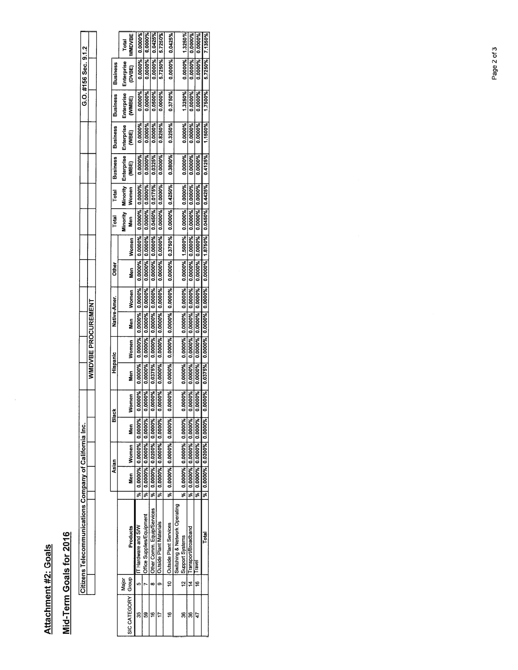## Attachment #2: Goals Attachment #2: Goals

 $\widetilde{\mathcal{R}}$ 

## Mid-Term Goals for 2016 Mid-Term Goals for 2016

| I |                  | ׇ֘֝ |
|---|------------------|-----|
|   | I<br>ı<br>֠<br>l |     |

|                 | Total      | <b>NNDVBE</b>        | 0.000%                  | ,0000%                    | 0.0425%                    | 5.7250%                        | 0.0425%                          |                               | 1.3250%                   | ,0000.0                 | 0.0000%                 | 7.1350%                         |
|-----------------|------------|----------------------|-------------------------|---------------------------|----------------------------|--------------------------------|----------------------------------|-------------------------------|---------------------------|-------------------------|-------------------------|---------------------------------|
|                 |            |                      |                         |                           |                            |                                |                                  |                               |                           |                         |                         |                                 |
| <b>Business</b> | Enterprise | DVBE)                | 0.0000%                 | 0.0000%                   | 0.0000%                    | 5.7250%                        | 0.0000%                          |                               | 0.0000%                   | 0.0000%                 | 0.0000%                 | 5.7250%                         |
| <b>Business</b> | Enterprise | (WMBE)               | 0.0000%                 | 0000%                     | 0500%                      | 0.0000%                        | 0.3750%                          |                               | 1.3250%                   | 0.0000%                 | 0.0000%                 | 1.7500%                         |
| <b>Business</b> | Enterprise | SE)                  | 0.0000%                 | 0.0000%                   | 0.0000%                    | 0.8250%                        | 0.3250%                          |                               | 0.0000%                   | 0.0000%                 | 0.0000%                 | 1.1500%                         |
| <b>Business</b> | Enterprise | g                    | 0000%                   | 0.0000%                   | 0325%                      | 0.0000%                        | 0.3800%                          |                               | 0.0000%                   | 0.0000%                 | 0.0000%                 | 0.4125%                         |
| Total           | Minority   | Women                | 0.0000%                 | 0.0000%                   | 0.0175%                    | 0.0000%                        | 0.0000% 0.4250%                  |                               | 0.0000% 0.0000%           | 0.0000%                 | 0.0000%                 |                                 |
| Total           | Minority   | S<br>Sen             | 0.0000%                 | 0.0000%                   | 0.0450%                    | 0.0000%                        |                                  |                               |                           | 0.0000%                 | 0.0000%                 | 0.0000% 1.8750% 0.0450% 0.4425% |
|                 |            | Women                | 0.0000%                 | 0.0000%                   | 0.0000%                    | 0.0000% 0.0000%                | 0.0000% 0.3750%                  |                               | 0.0000% 1.5000%           | 0.0000% 0.0000%         | 0.0000% 0.0000%         |                                 |
| <b>Other</b>    |            | .<br>Sen             | 0.0000%                 | 0.0000%                   | 0.0000%                    |                                |                                  |                               |                           |                         |                         |                                 |
| Native-Amer.    |            | Women                | 0.0000%                 | 0.0000%                   | 0.0000%                    | 0.0000%                        | 0.0000% 0.0000%                  |                               | 0.0000% 0.0000% 0.0000%   | 0.0000%                 | 0.0000% 0.0000% 0.0000% | 0.0000% 0.0000% 0.0000%         |
|                 |            | en<br>2              | 0.0000%                 | 0.0000%                   | 0.0000% 0.0000%            | 0.0000% 0.0000%                |                                  |                               |                           | 0.0000%                 |                         |                                 |
| Hispanic        |            | Women                | 0.0000%                 | 0.0000%                   |                            |                                | 0.0000%                          |                               |                           | 0.0000%                 |                         |                                 |
|                 |            | Men                  | 0.0000%                 | 0.0000%                   | 0.0375%                    | 0.0000%                        | 0.0000%                          |                               | 0.0000%                   | 0.0000%                 | 0.000%                  | 0.0375%                         |
| Black           |            | Women                | 0.0000%                 | 0.0000%                   | 0.0000%                    | 0.0000%                        | 0.0000%                          |                               | 0.0000%                   | 0.0000%                 | 0.0000%                 | 0.0000%                         |
|                 |            | §<br>€               |                         |                           |                            |                                |                                  |                               |                           |                         |                         |                                 |
| Asian           |            | Women                | 0.0000% 0.0000% 0.0000% | 0.0000% 0.0000% 0.0000%   | 19600010 196002010         | 0.0000% 0.0000% 0.0000%        | 0.0000% 0.0000% 0.0000%          |                               | 0.0000%  0.0000%  0.0000% | 0.0000% 0.0000% 0.0000% | 0.0000% 0.0000% 0.0000% | 0.0000% 0.0200% 0.0000%         |
|                 |            | Men<br>20            |                         |                           | 0.0000%                    |                                |                                  |                               |                           |                         |                         |                                 |
|                 |            |                      | ₹                       | 丽                         |                            | 3                              | z<br>S                           |                               | ॢ                         | ś                       | ड़                      | sі                              |
|                 |            | Products             | IT Hardware and S/W     | Office Supplies/Equipment | Other Comm. Equip/Services | <b>Outside Plant Materials</b> | 10 <b>Outside Plant Services</b> | Switching & Network Operating | Support Systems           | Transport/Broadband     | ravel                   | Total                           |
|                 | Major      |                      | u,                      |                           | œ                          | o                              |                                  |                               | 12                        | 4                       | e                       |                                 |
|                 |            | SIC CATEGORY   Group |                         | ន                         | ≌                          |                                | ڥ                                |                               | 36                        | 36                      |                         |                                 |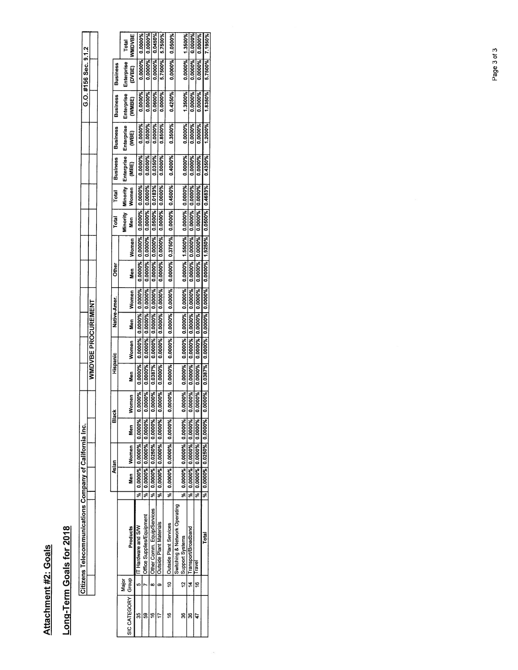### Attachment #2: Goals Attachment #2: Goals

## Long-Term Goals for 2018 Long-Term Goals for 2018

| j<br><b>Service Service</b> |  |
|-----------------------------|--|
|                             |  |

| <b>Business</b><br><b>Business</b><br><b>Business</b> | Total<br>Enterprise<br>Enterprise<br>Enterprise | NMDVBE<br><b>DVBE)</b><br>WMBE)<br>(Jan | 0.0000%<br>0.0000%<br>,0000%<br>0.0000% | 0.0000%<br>0.0000%<br>0.0000%<br>0.0000% | 0.0450%<br>0.0000%<br>0.0600%<br>0.0000% | 5.7500%<br>5.7500%<br>0.0000%<br>0.8500% | 0.0500%<br>0.0000%<br>0.4250%<br>0.3500% |                               | 1.3500%<br>0.0000%<br>1.3500%<br>0.0000% | 0.0000%<br>0.0000%<br>1.0000%<br>0.0000% |                         | 0.0000%<br>0.0000%<br>1.0000%<br>0.0000% |
|-------------------------------------------------------|-------------------------------------------------|-----------------------------------------|-----------------------------------------|------------------------------------------|------------------------------------------|------------------------------------------|------------------------------------------|-------------------------------|------------------------------------------|------------------------------------------|-------------------------|------------------------------------------|
| Business <sup>1</sup>                                 | Enterprise                                      | Œ                                       | 0000%                                   | 1.0000%                                  | 1.0350%                                  | 0.0000%                                  | 0.4000%                                  |                               | 0.0000%                                  | 0.0000%                                  | 0.0000%                 |                                          |
| Total                                                 | Minority                                        | Women                                   | 0.0000%                                 | 0.0000%                                  | 0.0183%                                  | 0.0000%                                  | 0.0000% 0.4500%                          |                               | 0.0000%                                  | 0.0000%                                  | 0.0000%                 |                                          |
| Total                                                 | Minority                                        | <b>Men</b>                              | 0.0000%                                 | 0.0000%                                  | 0.0500%                                  | 0.0000%                                  |                                          |                               | 0.0000%                                  | 0.0000%                                  | 0.0000%                 |                                          |
|                                                       |                                                 | Women                                   | 0.0000%                                 | 0.0000%                                  | 0.0000%                                  | 0.0000% 0.0000%                          | 0.0000% 0.3750%                          |                               | 0.0000% 0.0000% 0.0000% 0.0000% 1.5500%  | 0.0000% 0.0000%                          | 0.0000 5% 0.0000        |                                          |
| <b>Other</b>                                          |                                                 | Nen<br>S                                | 0.0000%                                 | 0.0000%                                  | 0.0000%                                  |                                          |                                          |                               |                                          |                                          |                         |                                          |
|                                                       |                                                 | Women                                   | 0.0000%                                 | 0.0000% 0.0000%                          | 0.0000%                                  | 0.0000% 0.0000%                          | 0.0000% 0.0000%                          |                               |                                          | 0.0000%                                  |                         |                                          |
| Native-Amer.                                          |                                                 | Nen<br>B                                | 0.0000%                                 |                                          | 0.0000%                                  |                                          |                                          |                               |                                          | 0.0000%                                  | 0.0000% 0.0000% 0.0000% |                                          |
|                                                       |                                                 | Women                                   | 0.0000%                                 | 0.0000%                                  | 0.0000%                                  | 0.0000%                                  | 0.0000%                                  |                               |                                          | 0.0000%                                  |                         |                                          |
| Hispanic                                              |                                                 | Nen<br>S                                | 0.0000%                                 | 0.0000%                                  | 0.0387%                                  | 0.0000%                                  | 0.0000%                                  |                               | 0.0000%                                  | 0.0000%                                  | 0.0000%                 |                                          |
|                                                       |                                                 | omen<br>3                               | 0.0000%                                 | 0.0000%                                  | 0.0000%                                  | 0.0000%                                  | 0.0000%                                  |                               | 0.0000%                                  | 0.0000%                                  | 0.0000%                 |                                          |
| Black                                                 |                                                 | Men<br>8                                |                                         |                                          |                                          |                                          |                                          |                               |                                          |                                          |                         |                                          |
|                                                       |                                                 | Women                                   | 0.0000% 0.0000% 0.0000%                 | 0.0000% 0.0000% 0.0000%                  | 0.0000% 0.0250% 0.0000%                  | 0.0000% 0.0000% 0.0000%                  |                                          |                               |                                          | 0.0000% 0.0000% 0.0000%                  | 0.0000% 0.0000% 0.0000% |                                          |
| Asian                                                 |                                                 | m<br>Men                                |                                         |                                          |                                          |                                          | 8 0.0000 800000 960000 1%                |                               | %  0.000%  0.0000%  0.0000%              |                                          |                         |                                          |
|                                                       |                                                 |                                         |                                         | इ                                        |                                          | <b>P</b> <sup>6</sup>                    |                                          |                               |                                          | F                                        | s<br>S                  |                                          |
|                                                       |                                                 | Products                                | IT Hardware and S/W                     | Office Supplies/Equipment                | Other Comm. Equip/Services               | <b>Outside Plant Materials</b>           | 10 <b>Cutside Plant Services</b>         | Switching & Network Operating | 12 Support Systems                       | 14   Transport/Broadband                 | ravel                   |                                          |
|                                                       | Major                                           |                                         | u.                                      |                                          | œ                                        | œ                                        |                                          |                               |                                          |                                          | ٣                       |                                          |
|                                                       |                                                 | SIC CATEGORY   Group                    |                                         |                                          |                                          |                                          | ٣                                        |                               | g                                        | g                                        |                         |                                          |

 $\langle \tilde{\Sigma} \rangle$